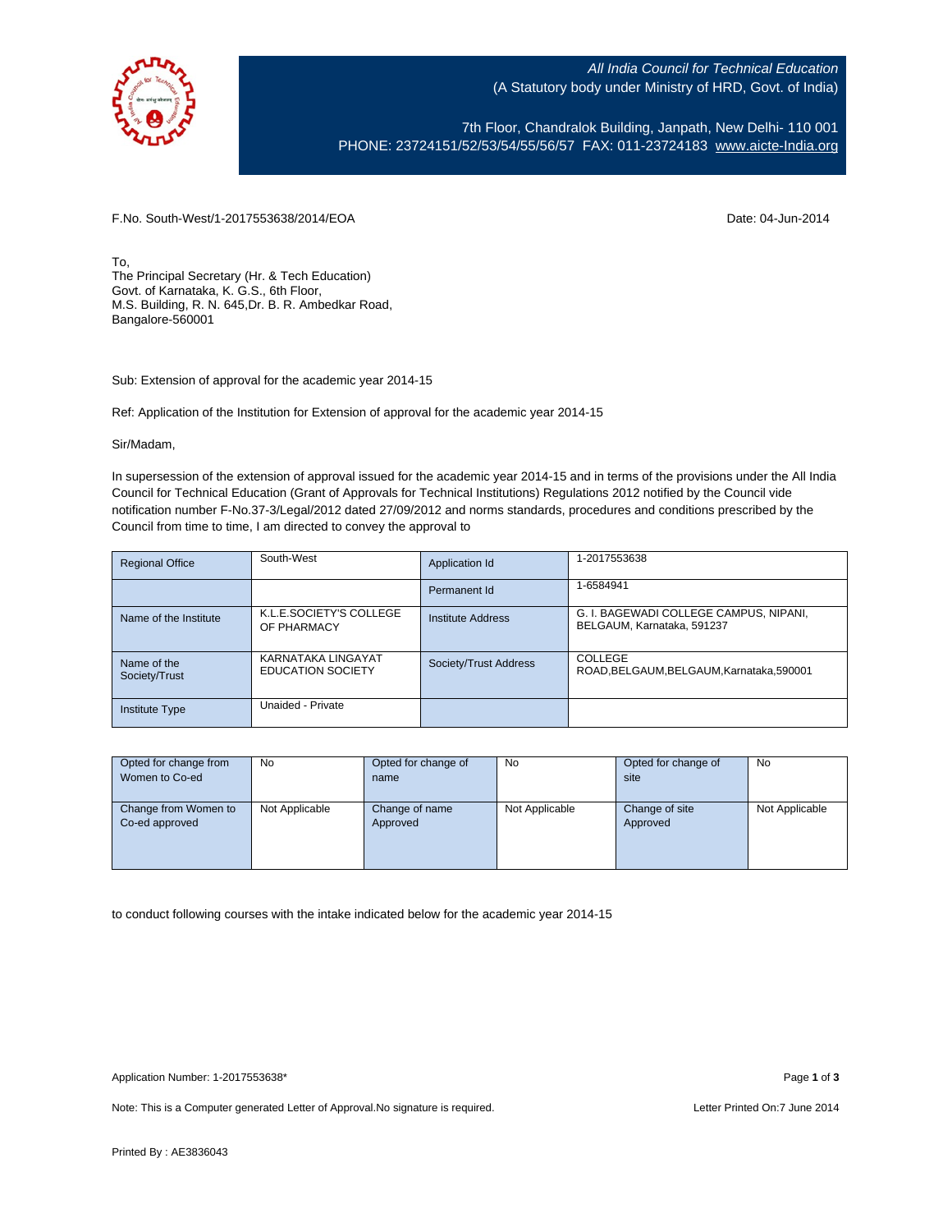

All India Council for Technical Education (A Statutory body under Ministry of HRD, Govt. of India)

7th Floor, Chandralok Building, Janpath, New Delhi- 110 001 PHONE: 23724151/52/53/54/55/56/57 FAX: 011-23724183 [www.aicte-India.org](http://www.aicte-india.org/)

F.No. South-West/1-2017553638/2014/EOA Date: 04-Jun-2014

To, The Principal Secretary (Hr. & Tech Education) Govt. of Karnataka, K. G.S., 6th Floor, M.S. Building, R. N. 645,Dr. B. R. Ambedkar Road, Bangalore-560001

Sub: Extension of approval for the academic year 2014-15

Ref: Application of the Institution for Extension of approval for the academic year 2014-15

Sir/Madam,

In supersession of the extension of approval issued for the academic year 2014-15 and in terms of the provisions under the All India Council for Technical Education (Grant of Approvals for Technical Institutions) Regulations 2012 notified by the Council vide notification number F-No.37-3/Legal/2012 dated 27/09/2012 and norms standards, procedures and conditions prescribed by the Council from time to time, I am directed to convey the approval to

| <b>Regional Office</b>       | South-West                                     | Application Id        | 1-2017553638                                                         |
|------------------------------|------------------------------------------------|-----------------------|----------------------------------------------------------------------|
|                              |                                                | Permanent Id          | 1-6584941                                                            |
| Name of the Institute        | K.L.E.SOCIETY'S COLLEGE<br>OF PHARMACY         | Institute Address     | G. I. BAGEWADI COLLEGE CAMPUS, NIPANI,<br>BELGAUM, Karnataka, 591237 |
| Name of the<br>Society/Trust | KARNATAKA LINGAYAT<br><b>EDUCATION SOCIETY</b> | Society/Trust Address | COLLEGE<br>ROAD, BELGAUM, BELGAUM, Karnataka, 590001                 |
| Institute Type               | Unaided - Private                              |                       |                                                                      |

| Opted for change from<br>Women to Co-ed | <b>No</b>      | Opted for change of<br>name | No             | Opted for change of<br>site | No             |
|-----------------------------------------|----------------|-----------------------------|----------------|-----------------------------|----------------|
| Change from Women to<br>Co-ed approved  | Not Applicable | Change of name<br>Approved  | Not Applicable | Change of site<br>Approved  | Not Applicable |

to conduct following courses with the intake indicated below for the academic year 2014-15

Note: This is a Computer generated Letter of Approval. No signature is required. Letter Printed On:7 June 2014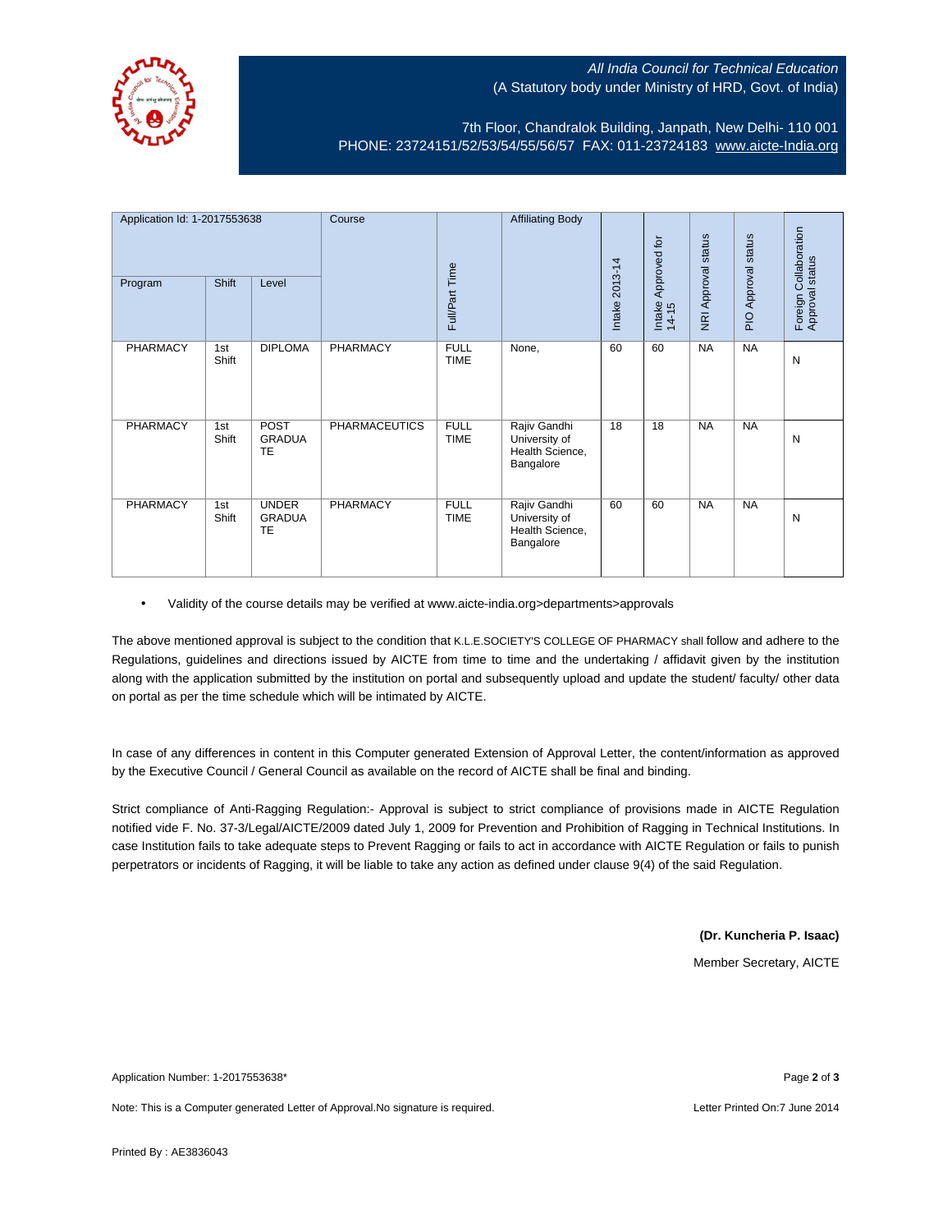## All India Council for Technical Education (A Statutory body under Ministry of HRD, Govt. of India)



7th Floor, Chandralok Building, Janpath, New Delhi- 110 001 PHONE: 23724151/52/53/54/55/56/57 FAX: 011-23724183 [www.aicte-India.org](http://www.aicte-india.org/)

| Application Id: 1-2017553638<br>Program | Shift        | Level                               | Course               | Full/Part Time             | <b>Affiliating Body</b>                                       | Intake 2013-14 | Approved for<br>Intake<br>$14-15$ | NRI Approval status | PIO Approval status | Collaboration<br>Foreign Collabor<br>Approval status |
|-----------------------------------------|--------------|-------------------------------------|----------------------|----------------------------|---------------------------------------------------------------|----------------|-----------------------------------|---------------------|---------------------|------------------------------------------------------|
| PHARMACY                                | 1st<br>Shift | <b>DIPLOMA</b>                      | <b>PHARMACY</b>      | <b>FULL</b><br><b>TIME</b> | None,                                                         | 60             | 60                                | <b>NA</b>           | <b>NA</b>           | N                                                    |
| PHARMACY                                | 1st<br>Shift | POST<br><b>GRADUA</b><br>TE         | <b>PHARMACEUTICS</b> | <b>FULL</b><br><b>TIME</b> | Rajiv Gandhi<br>University of<br>Health Science,<br>Bangalore | 18             | 18                                | <b>NA</b>           | <b>NA</b>           | N                                                    |
| PHARMACY                                | 1st<br>Shift | <b>UNDER</b><br><b>GRADUA</b><br>TE | PHARMACY             | <b>FULL</b><br><b>TIME</b> | Rajiv Gandhi<br>University of<br>Health Science,<br>Bangalore | 60             | 60                                | <b>NA</b>           | <b>NA</b>           | N                                                    |

• Validity of the course details may be verified at www.aicte-india.org>departments>approvals

The above mentioned approval is subject to the condition that K.L.E.SOCIETY'S COLLEGE OF PHARMACY shall follow and adhere to the Regulations, guidelines and directions issued by AICTE from time to time and the undertaking / affidavit given by the institution along with the application submitted by the institution on portal and subsequently upload and update the student/ faculty/ other data on portal as per the time schedule which will be intimated by AICTE.

In case of any differences in content in this Computer generated Extension of Approval Letter, the content/information as approved by the Executive Council / General Council as available on the record of AICTE shall be final and binding.

Strict compliance of Anti-Ragging Regulation:- Approval is subject to strict compliance of provisions made in AICTE Regulation notified vide F. No. 37-3/Legal/AICTE/2009 dated July 1, 2009 for Prevention and Prohibition of Ragging in Technical Institutions. In case Institution fails to take adequate steps to Prevent Ragging or fails to act in accordance with AICTE Regulation or fails to punish perpetrators or incidents of Ragging, it will be liable to take any action as defined under clause 9(4) of the said Regulation.

**(Dr. Kuncheria P. Isaac)**

Member Secretary, AICTE

Application Number: 1-2017553638\* Page **2** of **3**

Note: This is a Computer generated Letter of Approval.No signature is required. Letter Printed On:7 June 2014